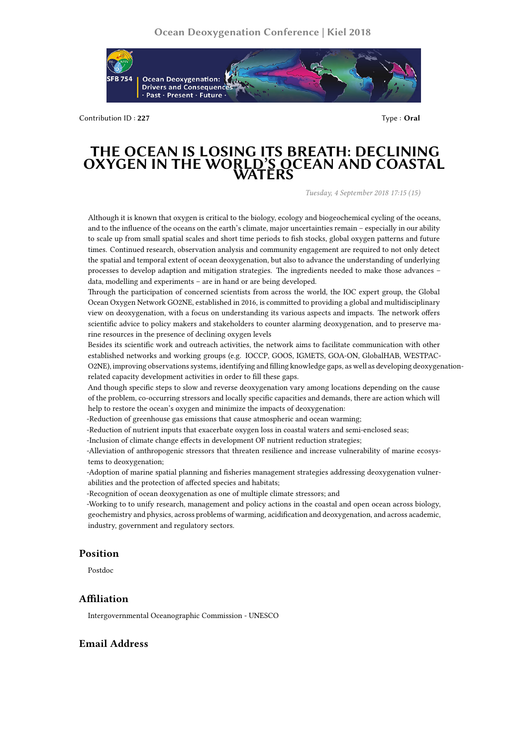

Contribution ID : **227** Type : **Oral**

# **THE OCEAN IS LOSING ITS BREATH: DECLINING OXYGEN IN THE WORLD'S OCEAN AND COASTAL WATERS**

*Tuesday, 4 September 2018 17:15 (15)*

Although it is known that oxygen is critical to the biology, ecology and biogeochemical cycling of the oceans, and to the influence of the oceans on the earth's climate, major uncertainties remain – especially in our ability to scale up from small spatial scales and short time periods to fish stocks, global oxygen patterns and future times. Continued research, observation analysis and community engagement are required to not only detect the spatial and temporal extent of ocean deoxygenation, but also to advance the understanding of underlying processes to develop adaption and mitigation strategies. The ingredients needed to make those advances – data, modelling and experiments – are in hand or are being developed.

Through the participation of concerned scientists from across the world, the IOC expert group, the Global Ocean Oxygen Network GO2NE, established in 2016, is committed to providing a global and multidisciplinary view on deoxygenation, with a focus on understanding its various aspects and impacts. The network offers scientific advice to policy makers and stakeholders to counter alarming deoxygenation, and to preserve marine resources in the presence of declining oxygen levels

Besides its scientific work and outreach activities, the network aims to facilitate communication with other established networks and working groups (e.g. IOCCP, GOOS, IGMETS, GOA-ON, GlobalHAB, WESTPAC-O2NE), improving observations systems, identifying and filling knowledge gaps, as well as developing deoxygenationrelated capacity development activities in order to fill these gaps.

And though specific steps to slow and reverse deoxygenation vary among locations depending on the cause of the problem, co-occurring stressors and locally specific capacities and demands, there are action which will help to restore the ocean's oxygen and minimize the impacts of deoxygenation:

-Reduction of greenhouse gas emissions that cause atmospheric and ocean warming;

-Reduction of nutrient inputs that exacerbate oxygen loss in coastal waters and semi-enclosed seas;

-Inclusion of climate change effects in development OF nutrient reduction strategies;

-Alleviation of anthropogenic stressors that threaten resilience and increase vulnerability of marine ecosystems to deoxygenation;

-Adoption of marine spatial planning and fisheries management strategies addressing deoxygenation vulnerabilities and the protection of affected species and habitats;

-Recognition of ocean deoxygenation as one of multiple climate stressors; and

-Working to to unify research, management and policy actions in the coastal and open ocean across biology, geochemistry and physics, across problems of warming, acidification and deoxygenation, and across academic, industry, government and regulatory sectors.

#### **Position**

Postdoc

### **Affiliation**

Intergovernmental Oceanographic Commission - UNESCO

## **Email Address**